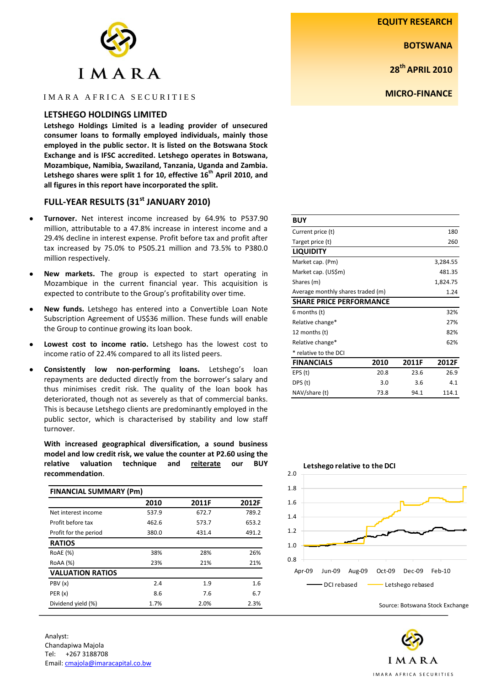**EQUITY RESEARCH**

**BOTSWANA**

**28th APRIL 2010**

**MICRO-FINANCE**

| $\left\langle \cdot \right\rangle$ |  |  |  |  |  |  |
|------------------------------------|--|--|--|--|--|--|
| IMARA                              |  |  |  |  |  |  |

# I M A R A A FRICA SECURITIES

## **LETSHEGO HOLDINGS LIMITED**

**Letshego Holdings Limited is a leading provider of unsecured consumer loans to formally employed individuals, mainly those employed in the public sector. It is listed on the Botswana Stock Exchange and is IFSC accredited. Letshego operates in Botswana, Mozambique, Namibia, Swaziland, Tanzania, Uganda and Zambia. Letshego shares were split 1 for 10, effective 16th April 2010, and all figures in this report have incorporated the split.**

# **FULL-YEAR RESULTS (31 st JANUARY 2010)**

- **Turnover.** Net interest income increased by 64.9% to P537.90 million, attributable to a 47.8% increase in interest income and a 29.4% decline in interest expense. Profit before tax and profit after tax increased by 75.0% to P505.21 million and 73.5% to P380.0 million respectively.
- **New markets.** The group is expected to start operating in Mozambique in the current financial year. This acquisition is expected to contribute to the Group's profitability over time.
- **New funds.** Letshego has entered into a Convertible Loan Note Subscription Agreement of US\$36 million. These funds will enable the Group to continue growing its loan book.
- **Lowest cost to income ratio.** Letshego has the lowest cost to income ratio of 22.4% compared to all its listed peers.
- **Consistently low non-performing loans.** Letshego's loan repayments are deducted directly from the borrower's salary and thus minimises credit risk. The quality of the loan book has deteriorated, though not as severely as that of commercial banks. This is because Letshego clients are predominantly employed in the public sector, which is characterised by stability and low staff turnover.

**With increased geographical diversification, a sound business model and low credit risk, we value the counter at P2.60 using the relative valuation technique and reiterate our BUY recommendation**.

| <b>FINANCIAL SUMMARY (Pm)</b> |       |       |       |  |  |  |  |
|-------------------------------|-------|-------|-------|--|--|--|--|
|                               | 2010  | 2011F | 2012F |  |  |  |  |
| Net interest income           | 537.9 | 672.7 | 789.2 |  |  |  |  |
| Profit before tax             | 462.6 | 573.7 | 653.2 |  |  |  |  |
| Profit for the period         | 380.0 | 431.4 | 491.2 |  |  |  |  |
| <b>RATIOS</b>                 |       |       |       |  |  |  |  |
| RoAE (%)                      | 38%   | 28%   | 26%   |  |  |  |  |
| RoAA (%)                      | 23%   | 21%   | 21%   |  |  |  |  |
| <b>VALUATION RATIOS</b>       |       |       |       |  |  |  |  |
| PBV (x)                       | 2.4   | 1.9   | 1.6   |  |  |  |  |
| PER(x)                        | 8.6   | 7.6   | 6.7   |  |  |  |  |
| Dividend yield (%)            | 1.7%  | 2.0%  | 2.3%  |  |  |  |  |

| <b>BUY</b>                        |          |        |       |  |  |  |  |
|-----------------------------------|----------|--------|-------|--|--|--|--|
| Current price (t)                 |          | 180    |       |  |  |  |  |
| Target price (t)                  |          | 260    |       |  |  |  |  |
| <b>LIQUIDITY</b>                  |          |        |       |  |  |  |  |
| Market cap. (Pm)                  | 3,284.55 |        |       |  |  |  |  |
| Market cap. (US\$m)               |          | 481.35 |       |  |  |  |  |
| Shares (m)                        | 1,824.75 |        |       |  |  |  |  |
| Average monthly shares traded (m) |          | 1.24   |       |  |  |  |  |
| <b>SHARE PRICE PERFORMANCE</b>    |          |        |       |  |  |  |  |
| 6 months (t)                      |          |        | 32%   |  |  |  |  |
| Relative change*                  |          |        |       |  |  |  |  |
| 12 months (t)                     | 82%      |        |       |  |  |  |  |
| 62%<br>Relative change*           |          |        |       |  |  |  |  |
| * relative to the DCI             |          |        |       |  |  |  |  |
| <b>FINANCIALS</b>                 | 2010     | 2011F  | 2012F |  |  |  |  |
| EPS(t)                            | 20.8     | 23.6   | 26.9  |  |  |  |  |
| DPS (t)                           | 3.0      | 3.6    | 4.1   |  |  |  |  |
| NAV/share (t)                     | 73.8     | 94.1   | 114.1 |  |  |  |  |



Source: Botswana Stock Exchange

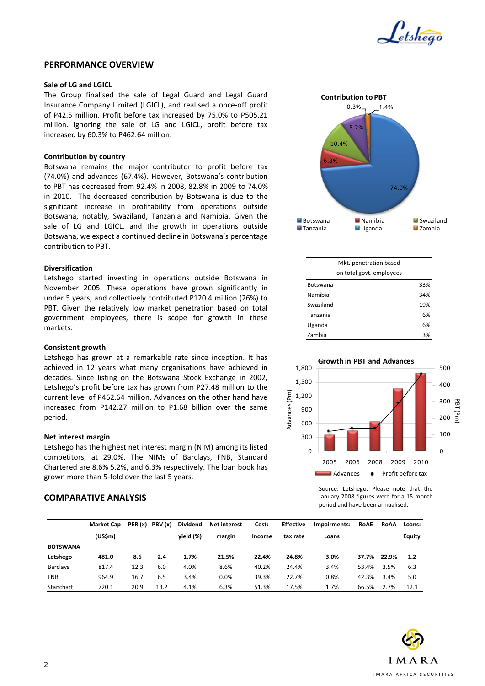

### **PERFORMANCE OVERVIEW**

### **Sale of LG and LGICL**

The Group finalised the sale of Legal Guard and Legal Guard Insurance Company Limited (LGICL), and realised a once-off profit of P42.5 million. Profit before tax increased by 75.0% to P505.21 million. Ignoring the sale of LG and LGICL, profit before tax increased by 60.3% to P462.64 million.

### **Contribution by country**

Botswana remains the major contributor to profit before tax (74.0%) and advances (67.4%). However, Botswana's contribution to PBT has decreased from 92.4% in 2008, 82.8% in 2009 to 74.0% in 2010. The decreased contribution by Botswana is due to the significant increase in profitability from operations outside Botswana, notably, Swaziland, Tanzania and Namibia. Given the sale of LG and LGICL, and the growth in operations outside Botswana, we expect a continued decline in Botswana's percentage contribution to PBT.

### **Diversification**

Letshego started investing in operations outside Botswana in November 2005. These operations have grown significantly in under 5 years, and collectively contributed P120.4 million (26%) to PBT. Given the relatively low market penetration based on total government employees, there is scope for growth in these markets.

### **Consistent growth**

Letshego has grown at a remarkable rate since inception. It has achieved in 12 years what many organisations have achieved in decades. Since listing on the Botswana Stock Exchange in 2002, Letshego's profit before tax has grown from P27.48 million to the current level of P462.64 million. Advances on the other hand have increased from P142.27 million to P1.68 billion over the same period.

### **Net interest margin**

Letshego has the highest net interest margin (NIM) among its listed competitors, at 29.0%. The NIMs of Barclays, FNB, Standard Chartered are 8.6% 5.2%, and 6.3% respectively. The loan book has grown more than 5-fold over the last 5 years.

# **COMPARATIVE ANALYSIS**



| Mkt. penetration based   |     |
|--------------------------|-----|
| on total govt. employees |     |
| <b>Botswana</b>          | 33% |
| Namibia                  | 34% |
| Swaziland                | 19% |
| Tanzania                 | 6%  |
| Uganda                   | 6%  |
| Zambia                   | 3%  |



Source: Letshego. Please note that the January 2008 figures were for a 15 month period and have been annualised.

|                 | <b>Market Cap</b> |      | PER $(x)$ PBV $(x)$ | <b>Dividend</b> | <b>Net interest</b> | Cost:  | <b>Effective</b> | Impairments: | <b>RoAE</b> | RoAA  | Loans:        |
|-----------------|-------------------|------|---------------------|-----------------|---------------------|--------|------------------|--------------|-------------|-------|---------------|
|                 | (US5m)            |      |                     | vield (%)       | margin              | Income | tax rate         | Loans        |             |       | <b>Equity</b> |
| <b>BOTSWANA</b> |                   |      |                     |                 |                     |        |                  |              |             |       |               |
| Letshego        | 481.0             | 8.6  | 2.4                 | 1.7%            | 21.5%               | 22.4%  | 24.8%            | 3.0%         | 37.7%       | 22.9% | 1.2           |
| Barclays        | 817.4             | 12.3 | 6.0                 | 4.0%            | 8.6%                | 40.2%  | 24.4%            | 3.4%         | 53.4%       | 3.5%  | 6.3           |
| <b>FNB</b>      | 964.9             | 16.7 | 6.5                 | 3.4%            | 0.0%                | 39.3%  | 22.7%            | 0.8%         | 42.3%       | 3.4%  | 5.0           |
| Stanchart       | 720.1             | 20.9 | 13.2                | 4.1%            | 6.3%                | 51.3%  | 17.5%            | 1.7%         | 66.5%       | 2.7%  | 12.1          |

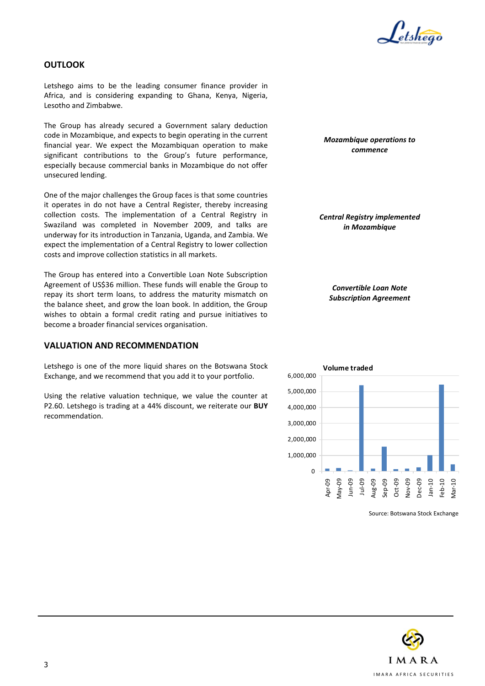

# **OUTLOOK**

Letshego aims to be the leading consumer finance provider in Africa, and is considering expanding to Ghana, Kenya, Nigeria, Lesotho and Zimbabwe.

The Group has already secured a Government salary deduction code in Mozambique, and expects to begin operating in the current financial year. We expect the Mozambiquan operation to make significant contributions to the Group's future performance, especially because commercial banks in Mozambique do not offer unsecured lending.

One of the major challenges the Group faces is that some countries it operates in do not have a Central Register, thereby increasing collection costs. The implementation of a Central Registry in Swaziland was completed in November 2009, and talks are underway for its introduction in Tanzania, Uganda, and Zambia. We expect the implementation of a Central Registry to lower collection costs and improve collection statistics in all markets.

The Group has entered into a Convertible Loan Note Subscription Agreement of US\$36 million. These funds will enable the Group to repay its short term loans, to address the maturity mismatch on the balance sheet, and grow the loan book. In addition, the Group wishes to obtain a formal credit rating and pursue initiatives to become a broader financial services organisation.

# **VALUATION AND RECOMMENDATION**

Letshego is one of the more liquid shares on the Botswana Stock Exchange, and we recommend that you add it to your portfolio.

Using the relative valuation technique, we value the counter at P2.60. Letshego is trading at a 44% discount, we reiterate our **BUY** recommendation.

*Mozambique operations to commence*

*Central Registry implemented in Mozambique*

*Convertible Loan Note Subscription Agreement*



Source: Botswana Stock Exchange

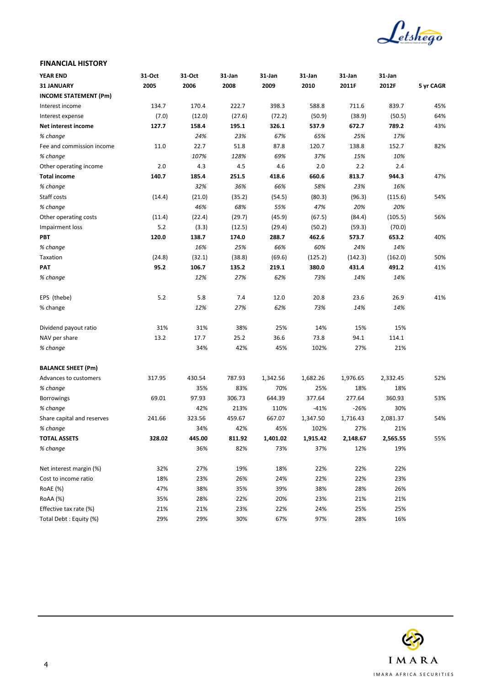

## **FINANCIAL HISTORY**

| <b>YEAR END</b>              | 31-Oct | 31-Oct | 31-Jan | 31-Jan   | 31-Jan   | 31 Jan   | 31-Jan   |           |
|------------------------------|--------|--------|--------|----------|----------|----------|----------|-----------|
| 31 JANUARY                   | 2005   | 2006   | 2008   | 2009     | 2010     | 2011F    | 2012F    | 5 yr CAGR |
| <b>INCOME STATEMENT (Pm)</b> |        |        |        |          |          |          |          |           |
| Interest income              | 134.7  | 170.4  | 222.7  | 398.3    | 588.8    | 711.6    | 839.7    | 45%       |
| Interest expense             | (7.0)  | (12.0) | (27.6) | (72.2)   | (50.9)   | (38.9)   | (50.5)   | 64%       |
| Net interest income          | 127.7  | 158.4  | 195.1  | 326.1    | 537.9    | 672.7    | 789.2    | 43%       |
| % change                     |        | 24%    | 23%    | 67%      | 65%      | 25%      | 17%      |           |
| Fee and commission income    | 11.0   | 22.7   | 51.8   | 87.8     | 120.7    | 138.8    | 152.7    | 82%       |
| % change                     |        | 107%   | 128%   | 69%      | 37%      | 15%      | 10%      |           |
| Other operating income       | 2.0    | 4.3    | 4.5    | 4.6      | 2.0      | 2.2      | 2.4      |           |
| <b>Total income</b>          | 140.7  | 185.4  | 251.5  | 418.6    | 660.6    | 813.7    | 944.3    | 47%       |
| % change                     |        | 32%    | 36%    | 66%      | 58%      | 23%      | 16%      |           |
| Staff costs                  | (14.4) | (21.0) | (35.2) | (54.5)   | (80.3)   | (96.3)   | (115.6)  | 54%       |
| % change                     |        | 46%    | 68%    | 55%      | 47%      | 20%      | 20%      |           |
| Other operating costs        | (11.4) | (22.4) | (29.7) | (45.9)   | (67.5)   | (84.4)   | (105.5)  | 56%       |
| Impairment loss              | 5.2    | (3.3)  | (12.5) | (29.4)   | (50.2)   | (59.3)   | (70.0)   |           |
| PBT                          | 120.0  | 138.7  | 174.0  | 288.7    | 462.6    | 573.7    | 653.2    | 40%       |
| % change                     |        | 16%    | 25%    | 66%      | 60%      | 24%      | 14%      |           |
| Taxation                     | (24.8) | (32.1) | (38.8) | (69.6)   | (125.2)  | (142.3)  | (162.0)  | 50%       |
| <b>PAT</b>                   | 95.2   | 106.7  | 135.2  | 219.1    | 380.0    | 431.4    | 491.2    | 41%       |
| % change                     |        | 12%    | 27%    | 62%      | 73%      | 14%      | 14%      |           |
| EPS (thebe)                  | 5.2    | 5.8    | 7.4    | 12.0     | 20.8     | 23.6     | 26.9     | 41%       |
| % change                     |        | 12%    | 27%    | 62%      | 73%      | 14%      | 14%      |           |
| Dividend payout ratio        | 31%    | 31%    | 38%    | 25%      | 14%      | 15%      | 15%      |           |
| NAV per share                | 13.2   | 17.7   | 25.2   | 36.6     | 73.8     | 94.1     | 114.1    |           |
| % change                     |        | 34%    | 42%    | 45%      | 102%     | 27%      | 21%      |           |
| <b>BALANCE SHEET (Pm)</b>    |        |        |        |          |          |          |          |           |
| Advances to customers        | 317.95 | 430.54 | 787.93 | 1,342.56 | 1,682.26 | 1,976.65 | 2,332.45 | 52%       |
| % change                     |        | 35%    | 83%    | 70%      | 25%      | 18%      | 18%      |           |
| <b>Borrowings</b>            | 69.01  | 97.93  | 306.73 | 644.39   | 377.64   | 277.64   | 360.93   | 53%       |
| % change                     |        | 42%    | 213%   | 110%     | -41%     | $-26%$   | 30%      |           |
| Share capital and reserves   | 241.66 | 323.56 | 459.67 | 667.07   | 1,347.50 | 1,716.43 | 2,081.37 | 54%       |
| % change                     |        | 34%    | 42%    | 45%      | 102%     | 27%      | 21%      |           |
| <b>TOTAL ASSETS</b>          | 328.02 | 445.00 | 811.92 | 1,401.02 | 1,915.42 | 2,148.67 | 2,565.55 | 55%       |
| % change                     |        | 36%    | 82%    | 73%      | 37%      | 12%      | 19%      |           |
| Net interest margin (%)      | 32%    | 27%    | 19%    | 18%      | 22%      | 22%      | 22%      |           |
| Cost to income ratio         | 18%    | 23%    | 26%    | 24%      | 22%      | 22%      | 23%      |           |
| RoAE (%)                     | 47%    | 38%    | 35%    | 39%      | 38%      | 28%      | 26%      |           |
| RoAA (%)                     | 35%    | 28%    | 22%    | 20%      | 23%      | 21%      | 21%      |           |
| Effective tax rate (%)       | 21%    | 21%    | 23%    | 22%      | 24%      | 25%      | 25%      |           |
| Total Debt: Equity (%)       | 29%    | 29%    | 30%    | 67%      | 97%      | 28%      | 16%      |           |